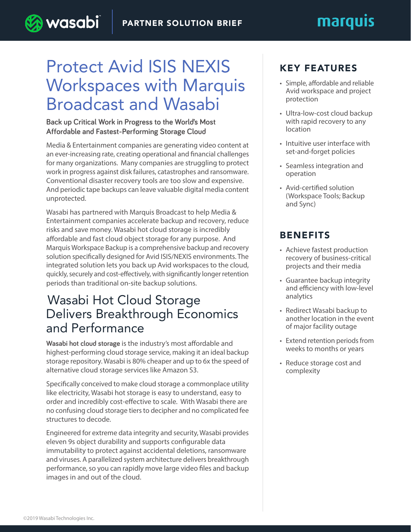# marquis

## Protect Avid ISIS NEXIS Workspaces with Marquis Broadcast and Wasabi

**Back up Critical Work in Progress to the World's Most Affordable and Fastest-Performing Storage Cloud**

) wasabi

Media & Entertainment companies are generating video content at an ever-increasing rate, creating operational and financial challenges for many organizations. Many companies are struggling to protect work in progress against disk failures, catastrophes and ransomware. Conventional disaster recovery tools are too slow and expensive. And periodic tape backups can leave valuable digital media content unprotected.

Wasabi has partnered with Marquis Broadcast to help Media & Entertainment companies accelerate backup and recovery, reduce risks and save money. Wasabi hot cloud storage is incredibly affordable and fast cloud object storage for any purpose. And Marquis Workspace Backup is a comprehensive backup and recovery solution specifically designed for Avid ISIS/NEXIS environments. The integrated solution lets you back up Avid workspaces to the cloud, quickly, securely and cost-effectively, with significantly longer retention periods than traditional on-site backup solutions.

### Wasabi Hot Cloud Storage Delivers Breakthrough Economics and Performance

**Wasabi hot cloud storage** is the industry's most affordable and highest-performing cloud storage service, making it an ideal backup storage repository. Wasabi is 80% cheaper and up to 6x the speed of alternative cloud storage services like Amazon S3.

Specifically conceived to make cloud storage a commonplace utility like electricity, Wasabi hot storage is easy to understand, easy to order and incredibly cost-effective to scale. With Wasabi there are no confusing cloud storage tiers to decipher and no complicated fee structures to decode.

Engineered for extreme data integrity and security, Wasabi provides eleven 9s object durability and supports configurable data immutability to protect against accidental deletions, ransomware and viruses. A parallelized system architecture delivers breakthrough performance, so you can rapidly move large video files and backup images in and out of the cloud.

#### KEY FEATURES

- Simple, affordable and reliable Avid workspace and project protection
- Ultra-low-cost cloud backup with rapid recovery to any location
- Intuitive user interface with set-and-forget policies
- Seamless integration and operation
- Avid-certified solution (Workspace Tools; Backup and Sync)

#### BENEFITS

- Achieve fastest production recovery of business-critical projects and their media
- Guarantee backup integrity and efficiency with low-level analytics
- Redirect Wasabi backup to another location in the event of major facility outage
- Extend retention periods from weeks to months or years
- Reduce storage cost and complexity